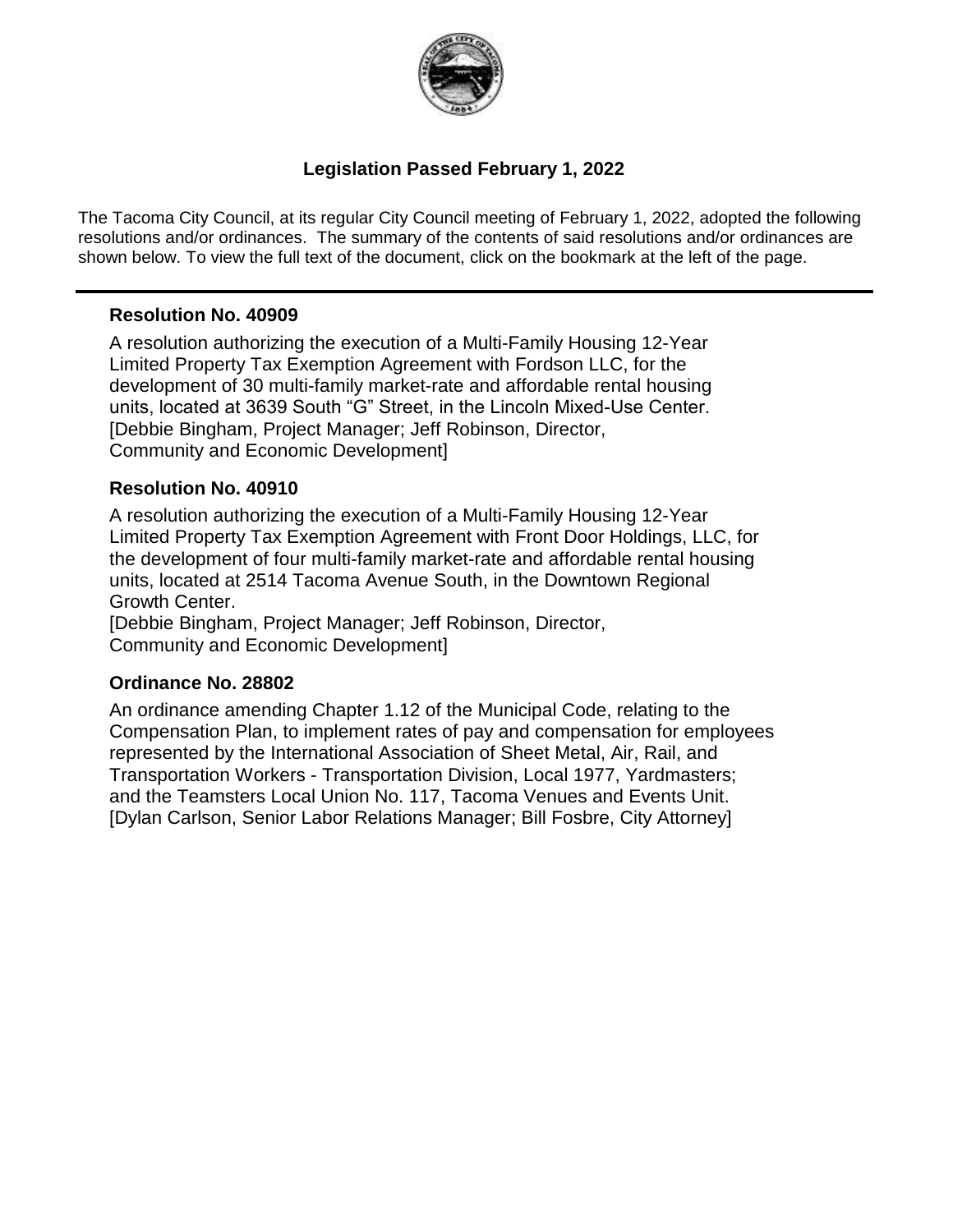

## **Legislation Passed February 1, 2022**

The Tacoma City Council, at its regular City Council meeting of February 1, 2022, adopted the following resolutions and/or ordinances. The summary of the contents of said resolutions and/or ordinances are shown below. To view the full text of the document, click on the bookmark at the left of the page.

#### **Resolution No. 40909**

A resolution authorizing the execution of a Multi-Family Housing 12-Year Limited Property Tax Exemption Agreement with Fordson LLC, for the development of 30 multi-family market-rate and affordable rental housing units, located at 3639 South "G" Street, in the Lincoln Mixed-Use Center. [Debbie Bingham, Project Manager; Jeff Robinson, Director, Community and Economic Development]

#### **Resolution No. 40910**

A resolution authorizing the execution of a Multi-Family Housing 12-Year Limited Property Tax Exemption Agreement with Front Door Holdings, LLC, for the development of four multi-family market-rate and affordable rental housing units, located at 2514 Tacoma Avenue South, in the Downtown Regional Growth Center.

[Debbie Bingham, Project Manager; Jeff Robinson, Director, Community and Economic Development]

#### **Ordinance No. 28802**

An ordinance amending Chapter 1.12 of the Municipal Code, relating to the Compensation Plan, to implement rates of pay and compensation for employees represented by the International Association of Sheet Metal, Air, Rail, and Transportation Workers - Transportation Division, Local 1977, Yardmasters; and the Teamsters Local Union No. 117, Tacoma Venues and Events Unit. [Dylan Carlson, Senior Labor Relations Manager; Bill Fosbre, City Attorney]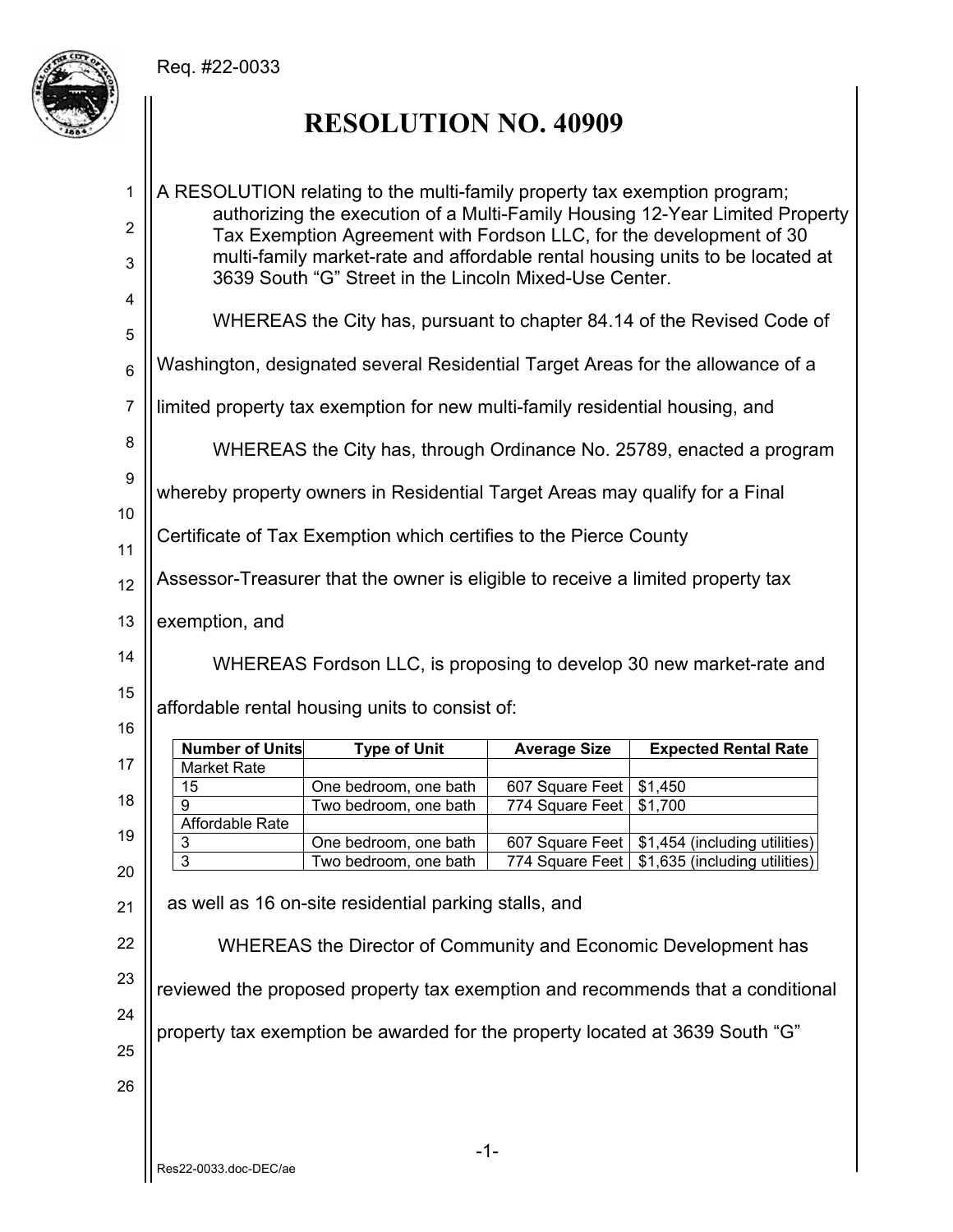# Req. #22-0033



# **RESOLUTION NO. 40909**

| 1<br>$\overline{2}$<br>3 | A RESOLUTION relating to the multi-family property tax exemption program;<br>authorizing the execution of a Multi-Family Housing 12-Year Limited Property<br>Tax Exemption Agreement with Fordson LLC, for the development of 30<br>multi-family market-rate and affordable rental housing units to be located at |                                                                                 |                     |                                                                                |  |  |  |
|--------------------------|-------------------------------------------------------------------------------------------------------------------------------------------------------------------------------------------------------------------------------------------------------------------------------------------------------------------|---------------------------------------------------------------------------------|---------------------|--------------------------------------------------------------------------------|--|--|--|
| 4                        | 3639 South "G" Street in the Lincoln Mixed-Use Center.                                                                                                                                                                                                                                                            |                                                                                 |                     |                                                                                |  |  |  |
| 5                        | WHEREAS the City has, pursuant to chapter 84.14 of the Revised Code of                                                                                                                                                                                                                                            |                                                                                 |                     |                                                                                |  |  |  |
| $6\phantom{1}$           |                                                                                                                                                                                                                                                                                                                   |                                                                                 |                     | Washington, designated several Residential Target Areas for the allowance of a |  |  |  |
| $\overline{7}$           |                                                                                                                                                                                                                                                                                                                   | limited property tax exemption for new multi-family residential housing, and    |                     |                                                                                |  |  |  |
| 8                        |                                                                                                                                                                                                                                                                                                                   |                                                                                 |                     | WHEREAS the City has, through Ordinance No. 25789, enacted a program           |  |  |  |
| $\boldsymbol{9}$         |                                                                                                                                                                                                                                                                                                                   | whereby property owners in Residential Target Areas may qualify for a Final     |                     |                                                                                |  |  |  |
| 10<br>11                 |                                                                                                                                                                                                                                                                                                                   | Certificate of Tax Exemption which certifies to the Pierce County               |                     |                                                                                |  |  |  |
| 12                       |                                                                                                                                                                                                                                                                                                                   | Assessor-Treasurer that the owner is eligible to receive a limited property tax |                     |                                                                                |  |  |  |
| 13                       | exemption, and                                                                                                                                                                                                                                                                                                    |                                                                                 |                     |                                                                                |  |  |  |
| 14                       |                                                                                                                                                                                                                                                                                                                   |                                                                                 |                     | WHEREAS Fordson LLC, is proposing to develop 30 new market-rate and            |  |  |  |
|                          | affordable rental housing units to consist of:                                                                                                                                                                                                                                                                    |                                                                                 |                     |                                                                                |  |  |  |
| 15                       |                                                                                                                                                                                                                                                                                                                   |                                                                                 |                     |                                                                                |  |  |  |
| 16                       |                                                                                                                                                                                                                                                                                                                   |                                                                                 |                     |                                                                                |  |  |  |
| 17                       | <b>Number of Units</b><br>Market Rate                                                                                                                                                                                                                                                                             | <b>Type of Unit</b>                                                             | <b>Average Size</b> | <b>Expected Rental Rate</b>                                                    |  |  |  |
|                          | 15                                                                                                                                                                                                                                                                                                                | One bedroom, one bath                                                           | 607 Square Feet     | \$1,450                                                                        |  |  |  |
| 18                       | 9                                                                                                                                                                                                                                                                                                                 | Two bedroom, one bath                                                           | 774 Square Feet     | \$1,700                                                                        |  |  |  |
| 19                       | Affordable Rate<br>3                                                                                                                                                                                                                                                                                              | One bedroom, one bath                                                           | 607 Square Feet     | \$1,454 (including utilities)                                                  |  |  |  |
| 20                       | $\overline{3}$                                                                                                                                                                                                                                                                                                    | Two bedroom, one bath                                                           | 774 Square Feet     | \$1,635 (including utilities)                                                  |  |  |  |
| 21                       |                                                                                                                                                                                                                                                                                                                   | as well as 16 on-site residential parking stalls, and                           |                     |                                                                                |  |  |  |
| 22                       |                                                                                                                                                                                                                                                                                                                   | WHEREAS the Director of Community and Economic Development has                  |                     |                                                                                |  |  |  |
| 23                       |                                                                                                                                                                                                                                                                                                                   |                                                                                 |                     | reviewed the proposed property tax exemption and recommends that a conditional |  |  |  |
| 24                       |                                                                                                                                                                                                                                                                                                                   |                                                                                 |                     |                                                                                |  |  |  |
| 25                       |                                                                                                                                                                                                                                                                                                                   | property tax exemption be awarded for the property located at 3639 South "G"    |                     |                                                                                |  |  |  |
| 26                       |                                                                                                                                                                                                                                                                                                                   |                                                                                 |                     |                                                                                |  |  |  |
|                          |                                                                                                                                                                                                                                                                                                                   | -1-                                                                             |                     |                                                                                |  |  |  |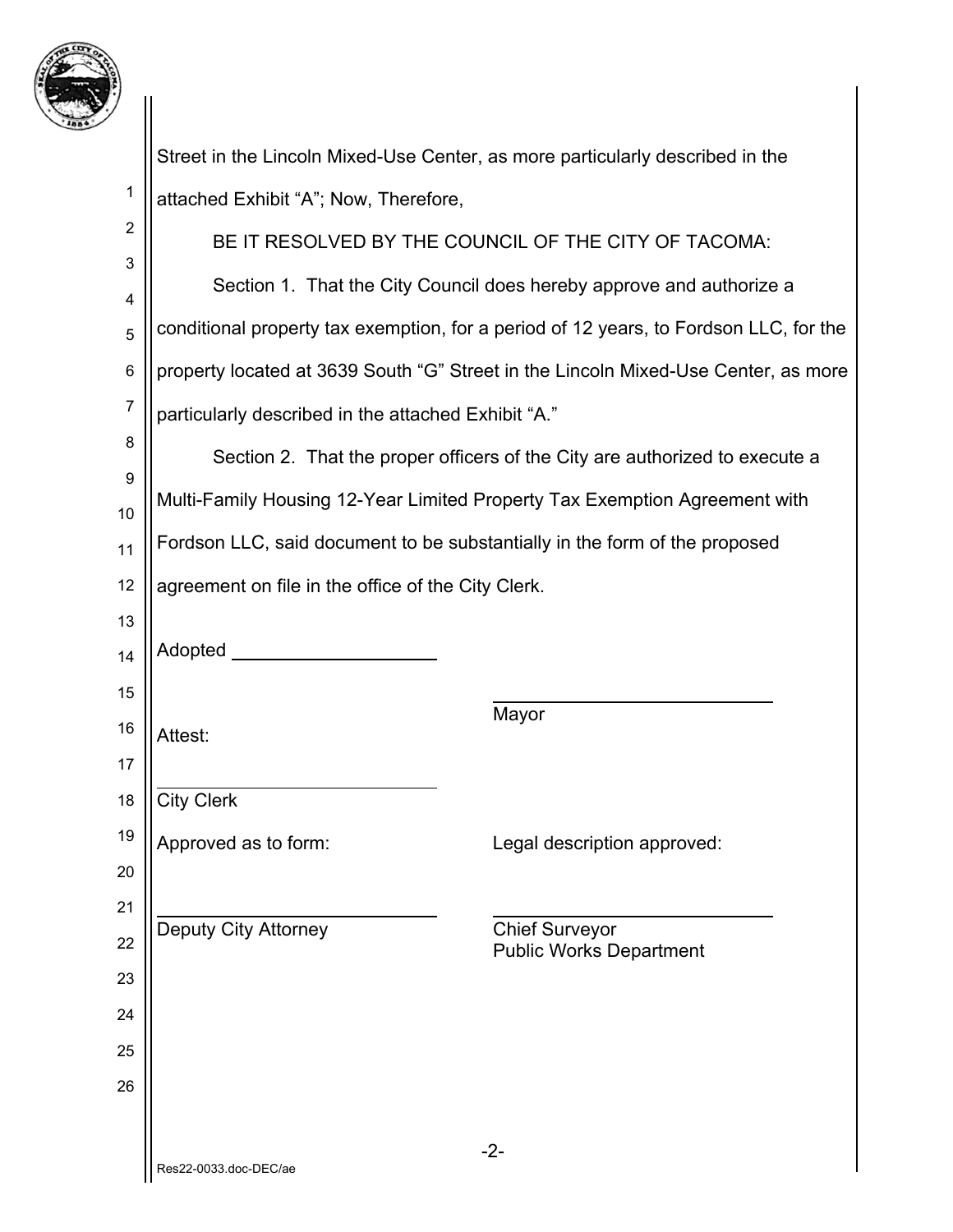

|                | Street in the Lincoln Mixed-Use Center, as more particularly described in the |                                                                                       |
|----------------|-------------------------------------------------------------------------------|---------------------------------------------------------------------------------------|
| 1              | attached Exhibit "A"; Now, Therefore,                                         |                                                                                       |
| $\overline{2}$ | BE IT RESOLVED BY THE COUNCIL OF THE CITY OF TACOMA:                          |                                                                                       |
| 3              |                                                                               | Section 1. That the City Council does hereby approve and authorize a                  |
| 4<br>5         |                                                                               | conditional property tax exemption, for a period of 12 years, to Fordson LLC, for the |
| $\,6$          |                                                                               | property located at 3639 South "G" Street in the Lincoln Mixed-Use Center, as more    |
| $\overline{7}$ | particularly described in the attached Exhibit "A."                           |                                                                                       |
| 8              |                                                                               | Section 2. That the proper officers of the City are authorized to execute a           |
| 9              | Multi-Family Housing 12-Year Limited Property Tax Exemption Agreement with    |                                                                                       |
| 10             |                                                                               |                                                                                       |
| 11             | Fordson LLC, said document to be substantially in the form of the proposed    |                                                                                       |
| 12             | agreement on file in the office of the City Clerk.                            |                                                                                       |
| 13<br>14       | Adopted ___                                                                   |                                                                                       |
| 15             |                                                                               |                                                                                       |
| 16             | Attest:                                                                       | Mayor                                                                                 |
| 17             |                                                                               |                                                                                       |
| 18             | <b>City Clerk</b>                                                             |                                                                                       |
| 19             | Approved as to form:                                                          | Legal description approved:                                                           |
| 20             |                                                                               |                                                                                       |
| 21             | <b>Deputy City Attorney</b>                                                   | <b>Chief Surveyor</b>                                                                 |
| 22             |                                                                               | <b>Public Works Department</b>                                                        |
| 23             |                                                                               |                                                                                       |
| 24<br>25       |                                                                               |                                                                                       |
| 26             |                                                                               |                                                                                       |
|                |                                                                               |                                                                                       |
|                | $-2-$<br>Res22-0033.doc-DEC/ae                                                |                                                                                       |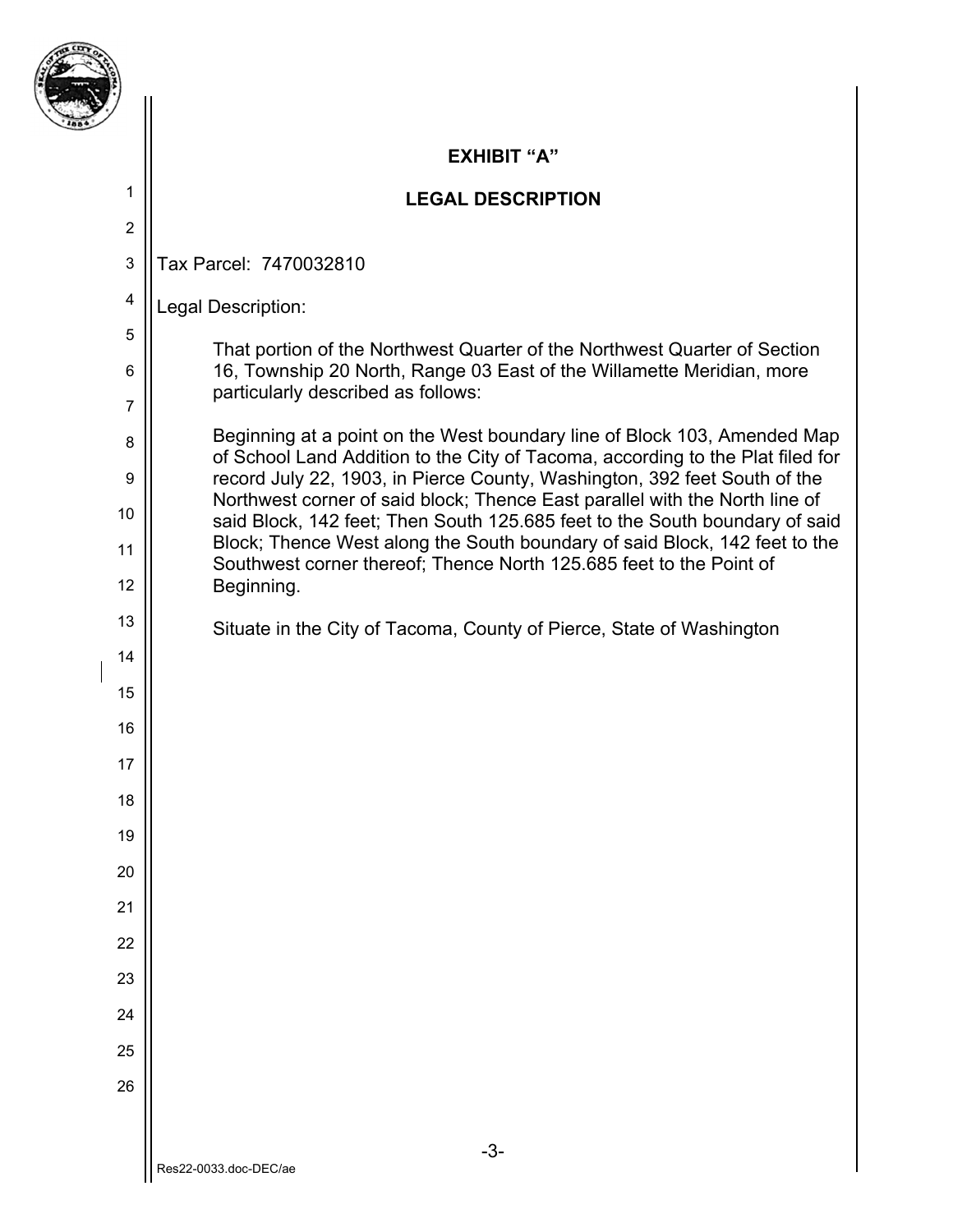

2

4

5

6

7

8

9

10

11

12

13

14

15

16

17

18

19

20

21

22

23

24

25

26

#### **EXHIBIT "A"**

### **LEGAL DESCRIPTION**

3 Tax Parcel: 7470032810

Legal Description:

That portion of the Northwest Quarter of the Northwest Quarter of Section 16, Township 20 North, Range 03 East of the Willamette Meridian, more particularly described as follows:

Beginning at a point on the West boundary line of Block 103, Amended Map of School Land Addition to the City of Tacoma, according to the Plat filed for record July 22, 1903, in Pierce County, Washington, 392 feet South of the Northwest corner of said block; Thence East parallel with the North line of said Block, 142 feet; Then South 125.685 feet to the South boundary of said Block; Thence West along the South boundary of said Block, 142 feet to the Southwest corner thereof; Thence North 125.685 feet to the Point of Beginning.

Situate in the City of Tacoma, County of Pierce, State of Washington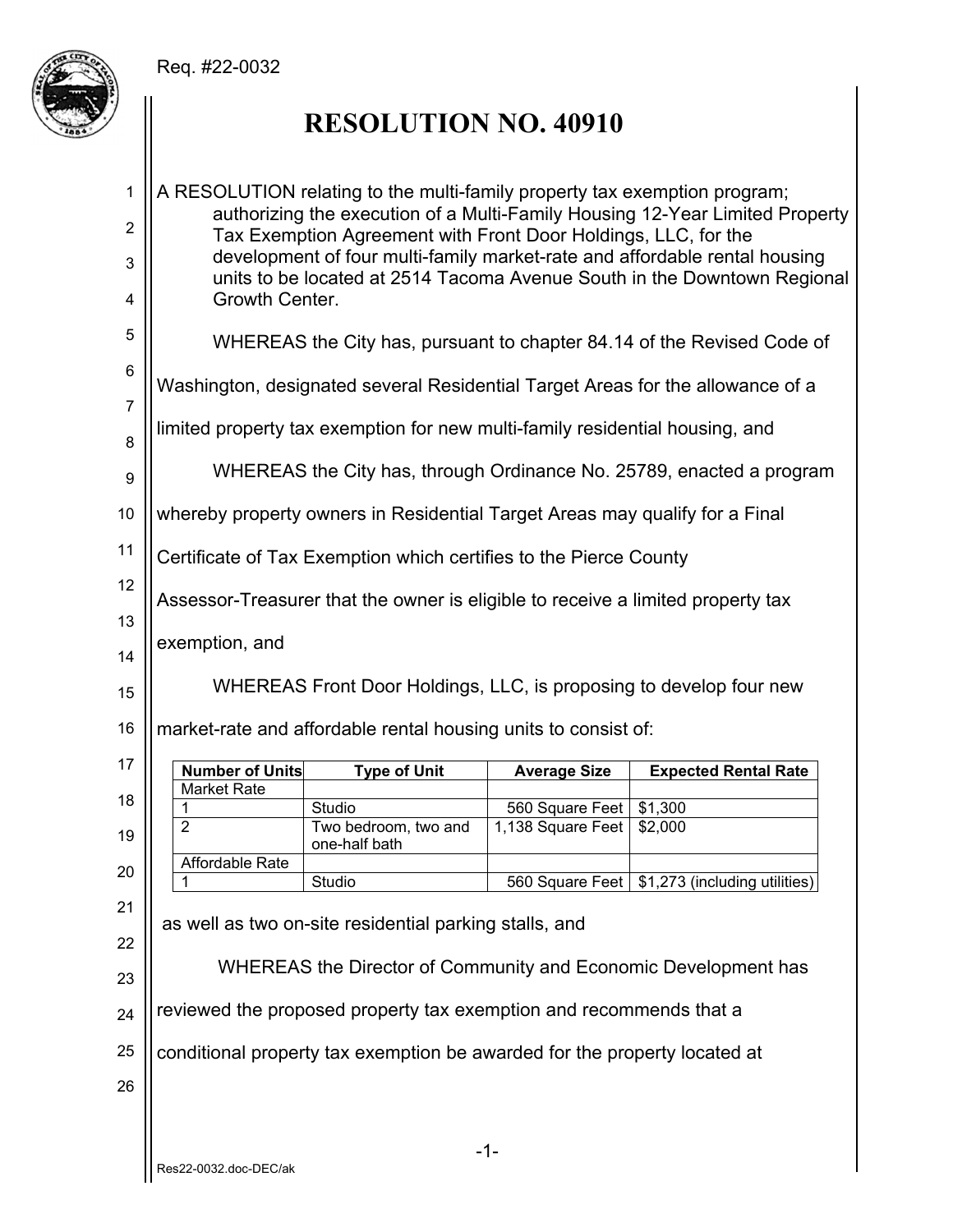## Req. #22-0032



# **RESOLUTION NO. 40910**

| $\mathbf{1}$        |                                                                                                                                                                                                                              | A RESOLUTION relating to the multi-family property tax exemption program;       |                     |                                                                                |  |  |  |
|---------------------|------------------------------------------------------------------------------------------------------------------------------------------------------------------------------------------------------------------------------|---------------------------------------------------------------------------------|---------------------|--------------------------------------------------------------------------------|--|--|--|
| $\overline{2}$<br>3 | authorizing the execution of a Multi-Family Housing 12-Year Limited Property<br>Tax Exemption Agreement with Front Door Holdings, LLC, for the<br>development of four multi-family market-rate and affordable rental housing |                                                                                 |                     |                                                                                |  |  |  |
| 4                   | units to be located at 2514 Tacoma Avenue South in the Downtown Regional<br>Growth Center.                                                                                                                                   |                                                                                 |                     |                                                                                |  |  |  |
| 5                   |                                                                                                                                                                                                                              |                                                                                 |                     | WHEREAS the City has, pursuant to chapter 84.14 of the Revised Code of         |  |  |  |
| 6                   |                                                                                                                                                                                                                              |                                                                                 |                     |                                                                                |  |  |  |
| $\overline{7}$      |                                                                                                                                                                                                                              |                                                                                 |                     | Washington, designated several Residential Target Areas for the allowance of a |  |  |  |
| 8                   |                                                                                                                                                                                                                              | limited property tax exemption for new multi-family residential housing, and    |                     |                                                                                |  |  |  |
| 9                   |                                                                                                                                                                                                                              |                                                                                 |                     | WHEREAS the City has, through Ordinance No. 25789, enacted a program           |  |  |  |
| 10                  |                                                                                                                                                                                                                              | whereby property owners in Residential Target Areas may qualify for a Final     |                     |                                                                                |  |  |  |
| 11                  |                                                                                                                                                                                                                              | Certificate of Tax Exemption which certifies to the Pierce County               |                     |                                                                                |  |  |  |
| 12                  |                                                                                                                                                                                                                              | Assessor-Treasurer that the owner is eligible to receive a limited property tax |                     |                                                                                |  |  |  |
| 13                  | exemption, and                                                                                                                                                                                                               |                                                                                 |                     |                                                                                |  |  |  |
|                     |                                                                                                                                                                                                                              |                                                                                 |                     |                                                                                |  |  |  |
| 14                  |                                                                                                                                                                                                                              |                                                                                 |                     |                                                                                |  |  |  |
| 15                  |                                                                                                                                                                                                                              | WHEREAS Front Door Holdings, LLC, is proposing to develop four new              |                     |                                                                                |  |  |  |
| 16                  |                                                                                                                                                                                                                              | market-rate and affordable rental housing units to consist of:                  |                     |                                                                                |  |  |  |
| 17                  | <b>Number of Units</b>                                                                                                                                                                                                       | <b>Type of Unit</b>                                                             | <b>Average Size</b> | <b>Expected Rental Rate</b>                                                    |  |  |  |
|                     | <b>Market Rate</b>                                                                                                                                                                                                           |                                                                                 |                     |                                                                                |  |  |  |
| 18                  | 1                                                                                                                                                                                                                            | Studio                                                                          | 560 Square Feet     | \$1,300                                                                        |  |  |  |
| 19                  | $\overline{2}$                                                                                                                                                                                                               | Two bedroom, two and                                                            | 1,138 Square Feet   | \$2,000                                                                        |  |  |  |
|                     |                                                                                                                                                                                                                              | one-half bath                                                                   |                     |                                                                                |  |  |  |
| 20                  | <b>Affordable Rate</b>                                                                                                                                                                                                       |                                                                                 |                     |                                                                                |  |  |  |
|                     |                                                                                                                                                                                                                              | Studio                                                                          |                     | 560 Square Feet   \$1,273 (including utilities)                                |  |  |  |
| 21                  |                                                                                                                                                                                                                              | as well as two on-site residential parking stalls, and                          |                     |                                                                                |  |  |  |
| 22<br>23            |                                                                                                                                                                                                                              | WHEREAS the Director of Community and Economic Development has                  |                     |                                                                                |  |  |  |
| 24                  |                                                                                                                                                                                                                              | reviewed the proposed property tax exemption and recommends that a              |                     |                                                                                |  |  |  |
| 25                  |                                                                                                                                                                                                                              | conditional property tax exemption be awarded for the property located at       |                     |                                                                                |  |  |  |
| 26                  |                                                                                                                                                                                                                              |                                                                                 |                     |                                                                                |  |  |  |
|                     |                                                                                                                                                                                                                              |                                                                                 |                     |                                                                                |  |  |  |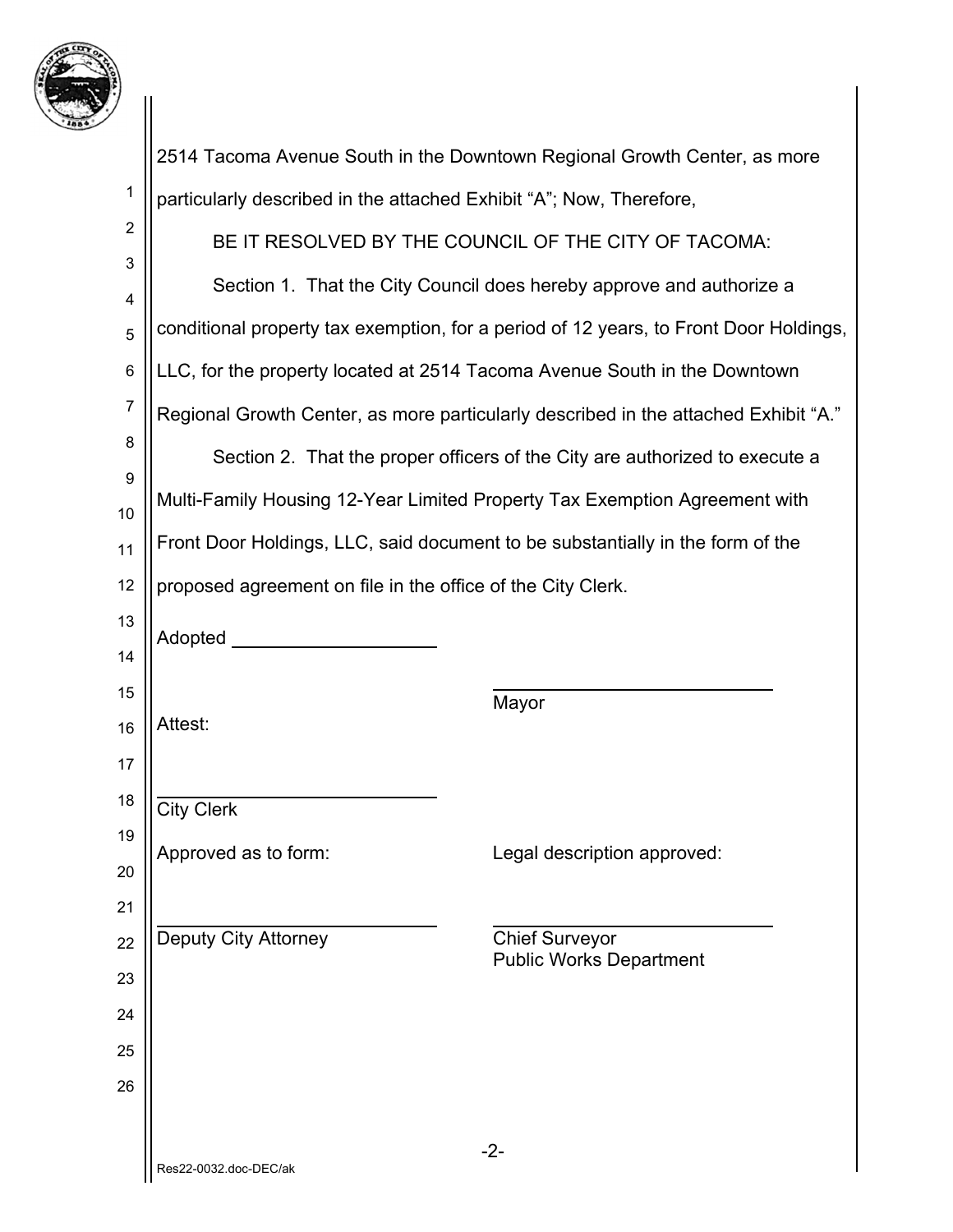

|                |                                                                                | 2514 Tacoma Avenue South in the Downtown Regional Growth Center, as more              |
|----------------|--------------------------------------------------------------------------------|---------------------------------------------------------------------------------------|
| 1              | particularly described in the attached Exhibit "A"; Now, Therefore,            |                                                                                       |
| $\overline{2}$ |                                                                                | BE IT RESOLVED BY THE COUNCIL OF THE CITY OF TACOMA:                                  |
| 3              |                                                                                | Section 1. That the City Council does hereby approve and authorize a                  |
| 4<br>5         |                                                                                | conditional property tax exemption, for a period of 12 years, to Front Door Holdings, |
| 6              | LLC, for the property located at 2514 Tacoma Avenue South in the Downtown      |                                                                                       |
| 7              |                                                                                | Regional Growth Center, as more particularly described in the attached Exhibit "A."   |
| 8              |                                                                                | Section 2. That the proper officers of the City are authorized to execute a           |
| 9              | Multi-Family Housing 12-Year Limited Property Tax Exemption Agreement with     |                                                                                       |
| 10             |                                                                                |                                                                                       |
| 11             | Front Door Holdings, LLC, said document to be substantially in the form of the |                                                                                       |
| 12             | proposed agreement on file in the office of the City Clerk.                    |                                                                                       |
| 13<br>14       | Adopted <b>Adopted</b>                                                         |                                                                                       |
| 15             |                                                                                |                                                                                       |
| 16             | Attest:                                                                        | Mayor                                                                                 |
| 17             |                                                                                |                                                                                       |
| 18             | <b>City Clerk</b>                                                              |                                                                                       |
| 19             | Approved as to form:                                                           | Legal description approved:                                                           |
| 20             |                                                                                |                                                                                       |
| 21             |                                                                                |                                                                                       |
| 22             | <b>Deputy City Attorney</b>                                                    | <b>Chief Surveyor</b><br><b>Public Works Department</b>                               |
| 23<br>24       |                                                                                |                                                                                       |
| 25             |                                                                                |                                                                                       |
| 26             |                                                                                |                                                                                       |
|                |                                                                                |                                                                                       |
|                | Res22-0032.doc-DEC/ak                                                          | $-2-$                                                                                 |
|                |                                                                                |                                                                                       |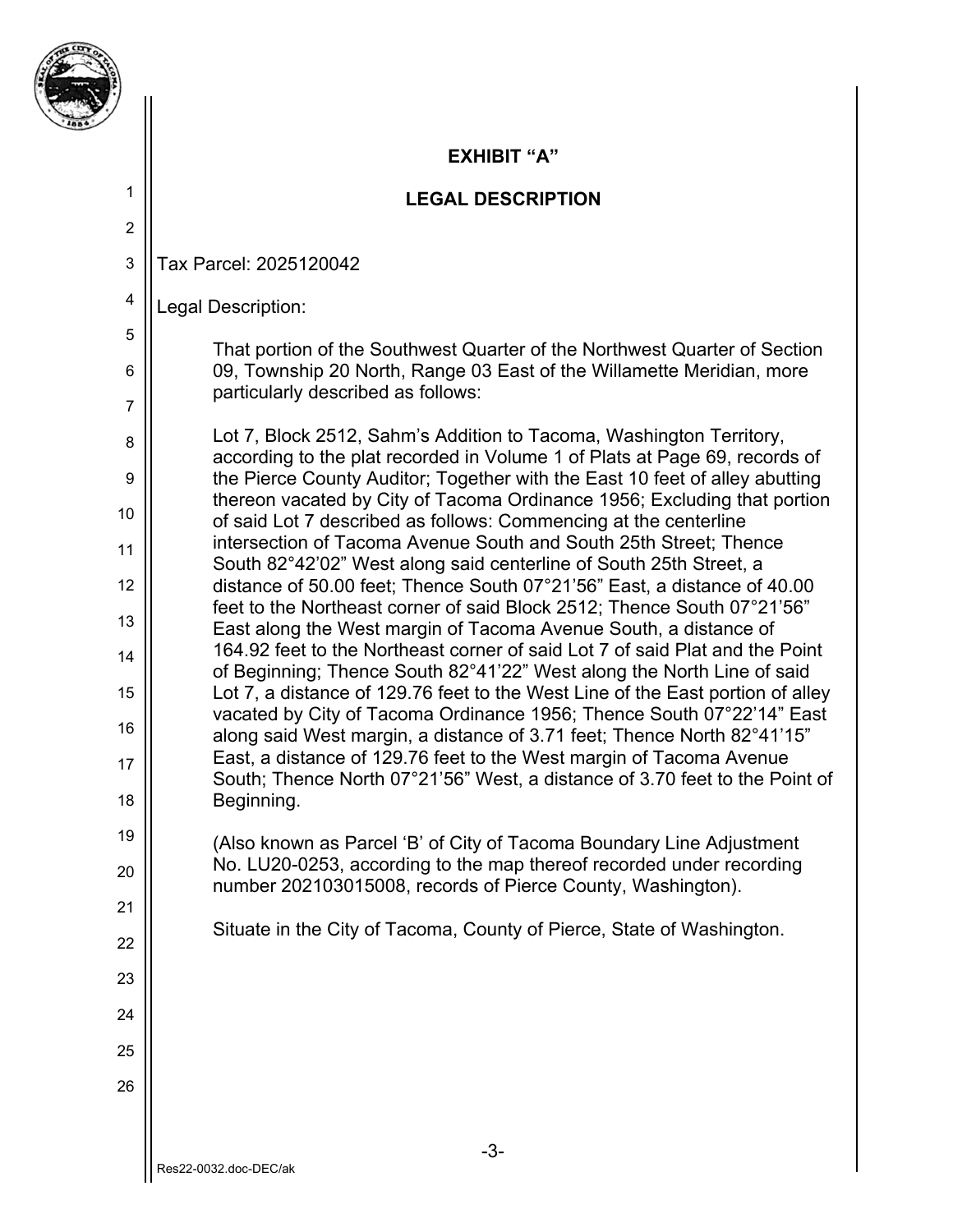

2

4

5

6

7

8

9

10

11

12

13

14

15

16

17

18

19

20

21

22

23

24

25

26

### **EXHIBIT "A"**

## **LEGAL DESCRIPTION**

3 Tax Parcel: 2025120042

Legal Description:

That portion of the Southwest Quarter of the Northwest Quarter of Section 09, Township 20 North, Range 03 East of the Willamette Meridian, more particularly described as follows:

Lot 7, Block 2512, Sahm's Addition to Tacoma, Washington Territory, according to the plat recorded in Volume 1 of Plats at Page 69, records of the Pierce County Auditor; Together with the East 10 feet of alley abutting thereon vacated by City of Tacoma Ordinance 1956; Excluding that portion of said Lot 7 described as follows: Commencing at the centerline intersection of Tacoma Avenue South and South 25th Street; Thence South 82°42'02" West along said centerline of South 25th Street, a distance of 50.00 feet; Thence South 07°21'56" East, a distance of 40.00 feet to the Northeast corner of said Block 2512; Thence South 07°21'56" East along the West margin of Tacoma Avenue South, a distance of 164.92 feet to the Northeast corner of said Lot 7 of said Plat and the Point of Beginning; Thence South 82°41'22" West along the North Line of said Lot 7, a distance of 129.76 feet to the West Line of the East portion of alley vacated by City of Tacoma Ordinance 1956; Thence South 07°22'14" East along said West margin, a distance of 3.71 feet; Thence North 82°41'15" East, a distance of 129.76 feet to the West margin of Tacoma Avenue South; Thence North 07°21'56" West, a distance of 3.70 feet to the Point of Beginning.

(Also known as Parcel 'B' of City of Tacoma Boundary Line Adjustment No. LU20-0253, according to the map thereof recorded under recording number 202103015008, records of Pierce County, Washington).

Situate in the City of Tacoma, County of Pierce, State of Washington.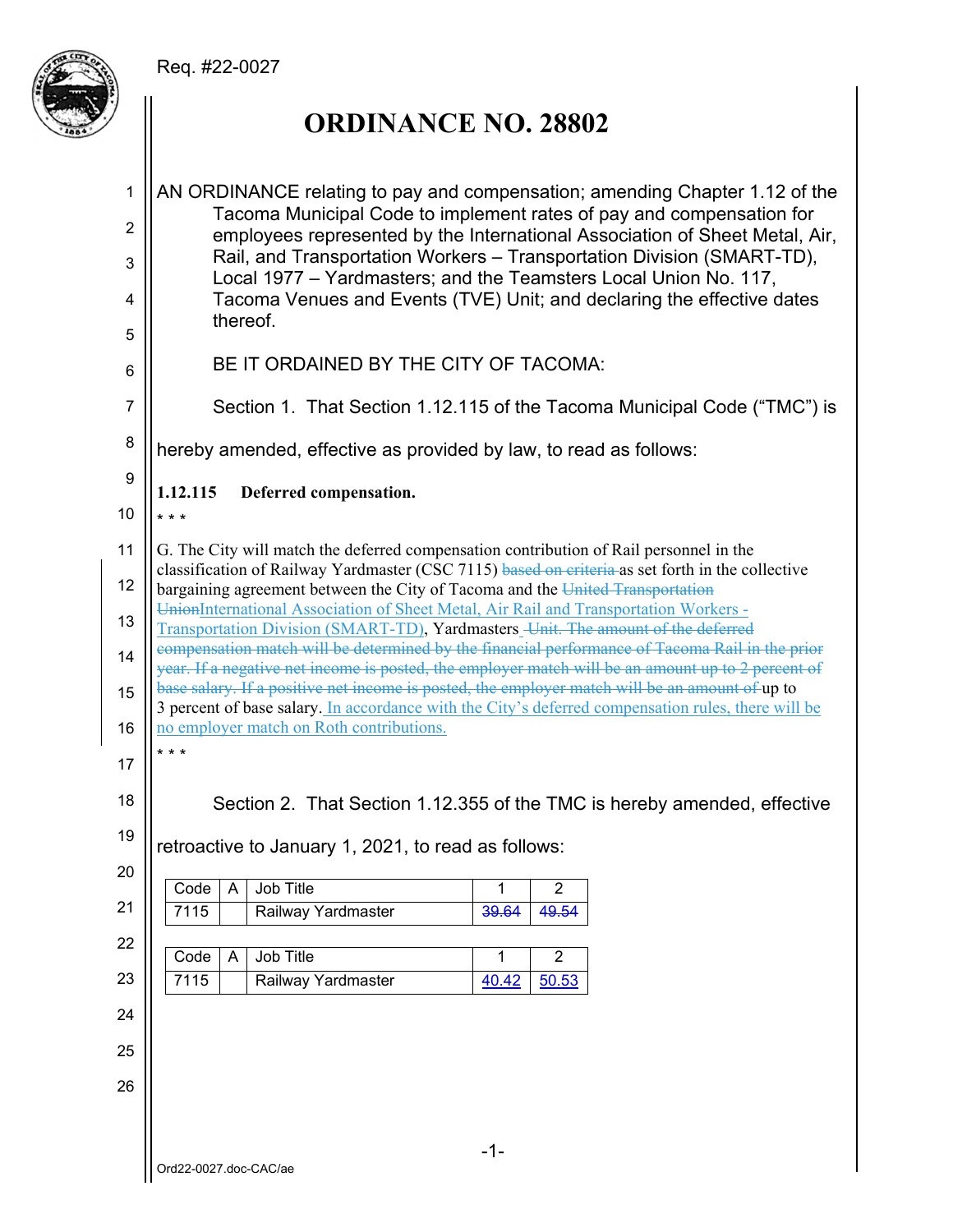# Req. #22-0027



# **ORDINANCE NO. 28802**

| 1              | AN ORDINANCE relating to pay and compensation; amending Chapter 1.12 of the                                                                                                                          |
|----------------|------------------------------------------------------------------------------------------------------------------------------------------------------------------------------------------------------|
| $\overline{2}$ | Tacoma Municipal Code to implement rates of pay and compensation for                                                                                                                                 |
| 3              | employees represented by the International Association of Sheet Metal, Air,<br>Rail, and Transportation Workers - Transportation Division (SMART-TD),                                                |
| 4              | Local 1977 - Yardmasters; and the Teamsters Local Union No. 117,<br>Tacoma Venues and Events (TVE) Unit; and declaring the effective dates                                                           |
| 5              | thereof.                                                                                                                                                                                             |
| 6              | BE IT ORDAINED BY THE CITY OF TACOMA:                                                                                                                                                                |
| $\overline{7}$ | Section 1. That Section 1.12.115 of the Tacoma Municipal Code ("TMC") is                                                                                                                             |
| 8              | hereby amended, effective as provided by law, to read as follows:                                                                                                                                    |
| 9              | 1.12.115<br>Deferred compensation.                                                                                                                                                                   |
| 10             | $* * *$                                                                                                                                                                                              |
| 11             | G. The City will match the deferred compensation contribution of Rail personnel in the<br>classification of Railway Yardmaster (CSC 7115) based on criteria as set forth in the collective           |
| 12             | bargaining agreement between the City of Tacoma and the United Transportation                                                                                                                        |
| 13             | UnionInternational Association of Sheet Metal, Air Rail and Transportation Workers -<br>Transportation Division (SMART-TD), Yardmasters_Unit. The amount of the deferred                             |
| 14             | compensation match will be determined by the financial performance of Tacoma Rail in the prior<br>year. If a negative net income is posted, the employer match will be an amount up to 2 percent of  |
| 15             | base salary. If a positive net income is posted, the employer match will be an amount of up to<br>3 percent of base salary. In accordance with the City's deferred compensation rules, there will be |
| 16             | no employer match on Roth contributions.                                                                                                                                                             |
| 17             | * * *                                                                                                                                                                                                |
| 18             | Section 2. That Section 1.12.355 of the TMC is hereby amended, effective                                                                                                                             |
| 19             | retroactive to January 1, 2021, to read as follows:                                                                                                                                                  |
| 20             | Code<br>A<br>Job Title<br>1<br>$\overline{c}$                                                                                                                                                        |
| 21             | Railway Yardmaster<br>7115<br>39.64<br>49.54                                                                                                                                                         |
| 22             |                                                                                                                                                                                                      |
| 23             | Job Title<br>$\overline{2}$<br>$\overline{A}$<br>$\mathbf{1}$<br>Code<br>7115<br>Railway Yardmaster<br>40.42<br>50.53                                                                                |
| 24             |                                                                                                                                                                                                      |
| 25             |                                                                                                                                                                                                      |
| 26             |                                                                                                                                                                                                      |
|                |                                                                                                                                                                                                      |
|                | $-1-$                                                                                                                                                                                                |
|                | Ord22-0027.doc-CAC/ae                                                                                                                                                                                |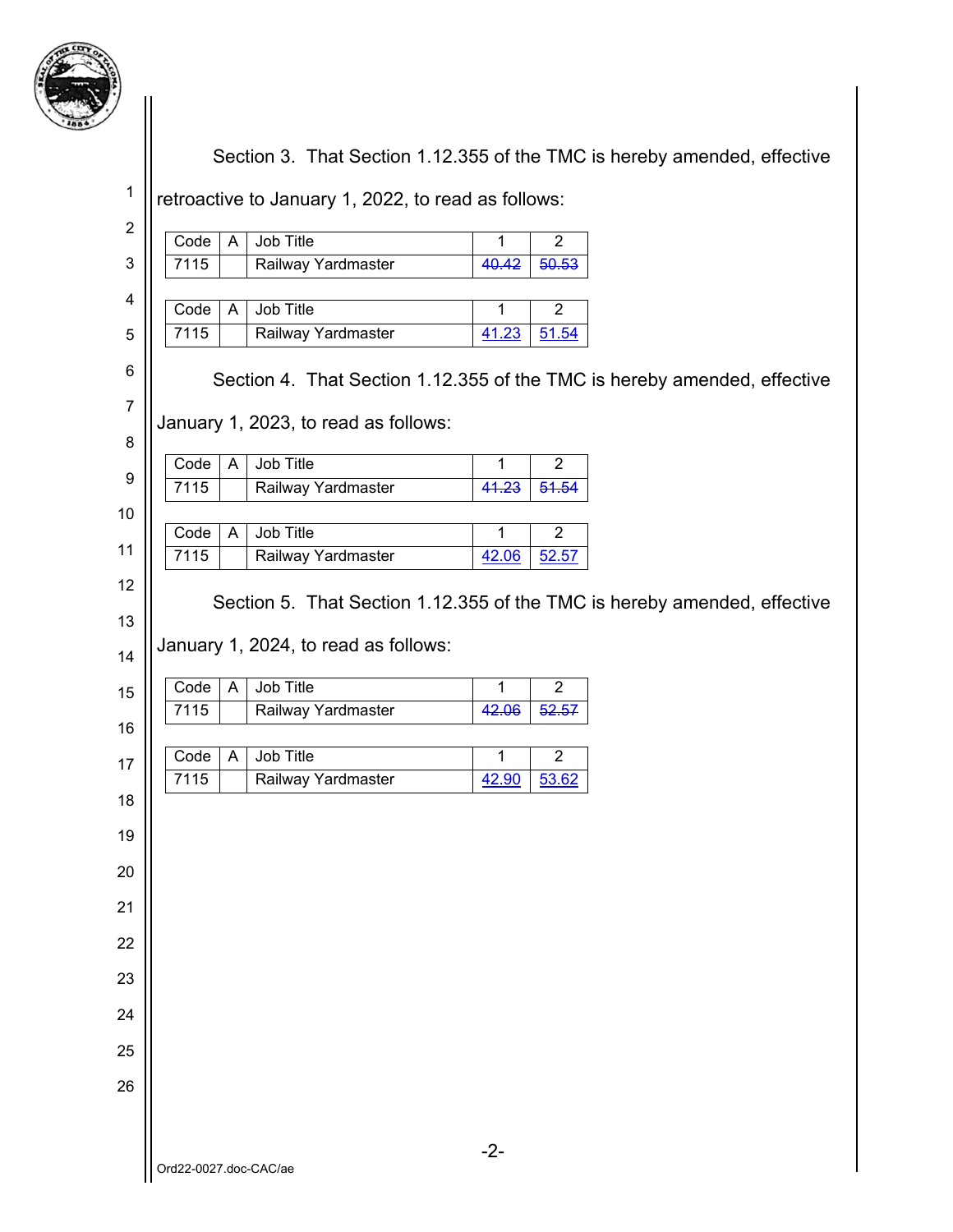

Section 3. That Section 1.12.355 of the TMC is hereby amended, effective

retroactive to January 1, 2022, to read as follows:

| $\overline{c}$   |                                                                          |
|------------------|--------------------------------------------------------------------------|
|                  | Job Title<br>Code<br>$\mathsf{A}$<br>1<br>$\overline{2}$                 |
| 3                | 7115<br>40.42<br>Railway Yardmaster<br>50.53                             |
| 4                | Job Title<br>Code<br>$\overline{2}$<br>A<br>1                            |
| 5                | 7115<br>Railway Yardmaster<br>41.23<br>51.54                             |
| 6                |                                                                          |
|                  | Section 4. That Section 1.12.355 of the TMC is hereby amended, effective |
| $\boldsymbol{7}$ | January 1, 2023, to read as follows:                                     |
| 8                |                                                                          |
| 9                | Job Title<br>Code<br>$\mathsf{A}$<br>$\overline{2}$<br>1                 |
|                  | 7115<br>41.23<br>Railway Yardmaster<br>51.54                             |
| 10               | Job Title<br>$\overline{2}$<br>Code<br>A<br>1                            |
| 11               | 7115<br>Railway Yardmaster<br>42.06<br>52.57                             |
| 12               |                                                                          |
| 13               | Section 5. That Section 1.12.355 of the TMC is hereby amended, effective |
|                  | January 1, 2024, to read as follows:                                     |
| 14               |                                                                          |
| 15               | Job Title<br>Code<br>$\mathsf{A}$<br>$\mathbf{1}$<br>$\overline{2}$      |
| 16               | 7115<br>Railway Yardmaster<br>42.06<br>52.57                             |
|                  | Job Title<br>$\overline{2}$<br>Code<br>1<br>A                            |
| 17               | 7115<br>Railway Yardmaster<br>42.90<br>53.62                             |
| 18               |                                                                          |
| 19               |                                                                          |
| 20               |                                                                          |
|                  |                                                                          |
| 21               |                                                                          |
| 22               |                                                                          |
| 23               |                                                                          |
|                  |                                                                          |
| 24               |                                                                          |
| 25               |                                                                          |
| 26               |                                                                          |
|                  |                                                                          |
|                  |                                                                          |
|                  | $-2-$<br>Ord22-0027.doc-CAC/ae                                           |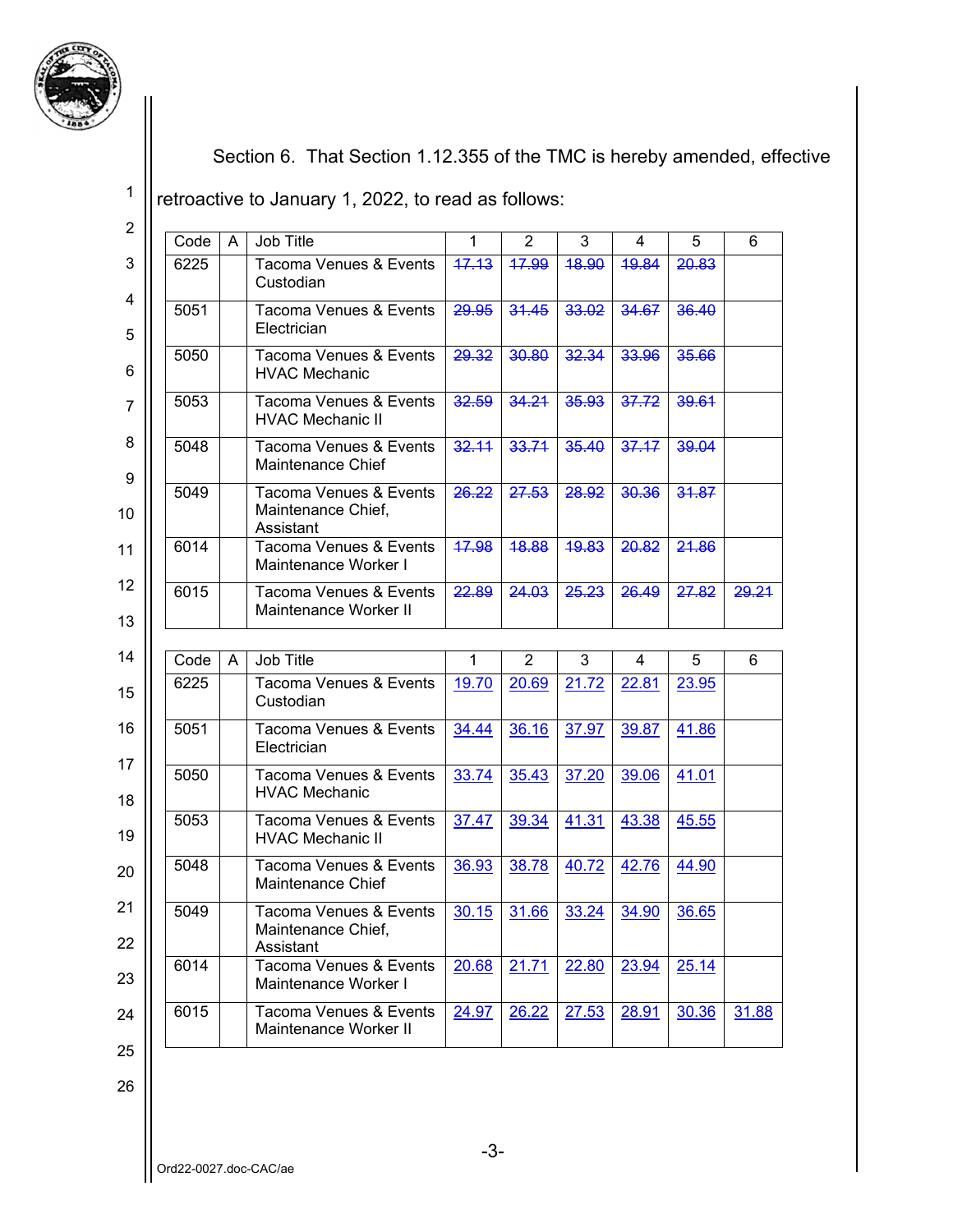

Section 6. That Section 1.12.355 of the TMC is hereby amended, effective

retroactive to January 1, 2022, to read as follows:

| $\overline{2}$ |      |   |                                                           |                  |                |       |       |                                 |       |
|----------------|------|---|-----------------------------------------------------------|------------------|----------------|-------|-------|---------------------------------|-------|
|                | Code | A | Job Title                                                 | $\mathbf{1}$     | $\overline{2}$ | 3     | 4     | 5                               | 6     |
| 3              | 6225 |   | Tacoma Venues & Events<br>Custodian                       | 47.13            | 17.99          | 18.90 | 19.84 | 20.83                           |       |
| 4<br>5         | 5051 |   | Tacoma Venues & Events<br>Electrician                     | 29.95            | 31.45          | 33.02 | 34.67 | 36.40                           |       |
| 6              | 5050 |   | Tacoma Venues & Events<br><b>HVAC Mechanic</b>            | 29.32            | 30.80          | 32.34 | 33.96 | 35.66                           |       |
| 7              | 5053 |   | Tacoma Venues & Events<br><b>HVAC Mechanic II</b>         | 32.59            | 34.21          | 35.93 | 37.72 | 39.61                           |       |
| 8              | 5048 |   | Tacoma Venues & Events<br>Maintenance Chief               | 32.11            | 33.71          | 35.40 | 37.17 | 39.04                           |       |
| 9<br>10        | 5049 |   | Tacoma Venues & Events<br>Maintenance Chief,<br>Assistant | <del>26.22</del> | 27.53          | 28.92 | 30.36 | 31.87                           |       |
| 11             | 6014 |   | Tacoma Venues & Events<br>Maintenance Worker I            | 17.98            | 48.88          | 19.83 | 20.82 | 21.86                           |       |
| 12<br>13       | 6015 |   | Tacoma Venues & Events<br>Maintenance Worker II           | 22.89            | 24.03          | 25.23 | 26.49 | 27.82                           | 29.21 |
|                |      |   |                                                           |                  |                |       |       |                                 |       |
|                |      |   |                                                           |                  |                |       |       |                                 |       |
| 14             | Code | A | Job Title                                                 | 1                | 2              | 3     | 4     | 5                               | 6     |
| 15             | 6225 |   | Tacoma Venues & Events<br>Custodian                       | 19.70            | 20.69          | 21.72 | 22.81 | 23.95                           |       |
| 16             | 5051 |   | <b>Tacoma Venues &amp; Events</b><br>Electrician          | 34.44            | 36.16          | 37.97 | 39.87 | 41.86                           |       |
| 17<br>18       | 5050 |   | Tacoma Venues & Events<br><b>HVAC Mechanic</b>            | 33.74            | 35.43          | 37.20 | 39.06 | 41.01                           |       |
| 19             | 5053 |   | Tacoma Venues & Events<br><b>HVAC Mechanic II</b>         | 37.47            | 39.34          | 41.31 | 43.38 | 45.55                           |       |
| 20             | 5048 |   | Tacoma Venues & Events<br>Maintenance Chief               | 36.93            | 38.78          | 40.72 | 42.76 | 44.90                           |       |
| 21<br>22       | 5049 |   | Tacoma Venues & Events<br>Maintenance Chief,<br>Assistant |                  |                |       |       | $30.15$ 31.66 33.24 34.90 36.65 |       |
| 23             | 6014 |   | <b>Tacoma Venues &amp; Events</b><br>Maintenance Worker I | 20.68            | <u>21.71</u>   | 22.80 | 23.94 | 25.14                           |       |
| 24<br>25       | 6015 |   | Tacoma Venues & Events<br>Maintenance Worker II           | 24.97            | 26.22          | 27.53 | 28.91 | 30.36                           | 31.88 |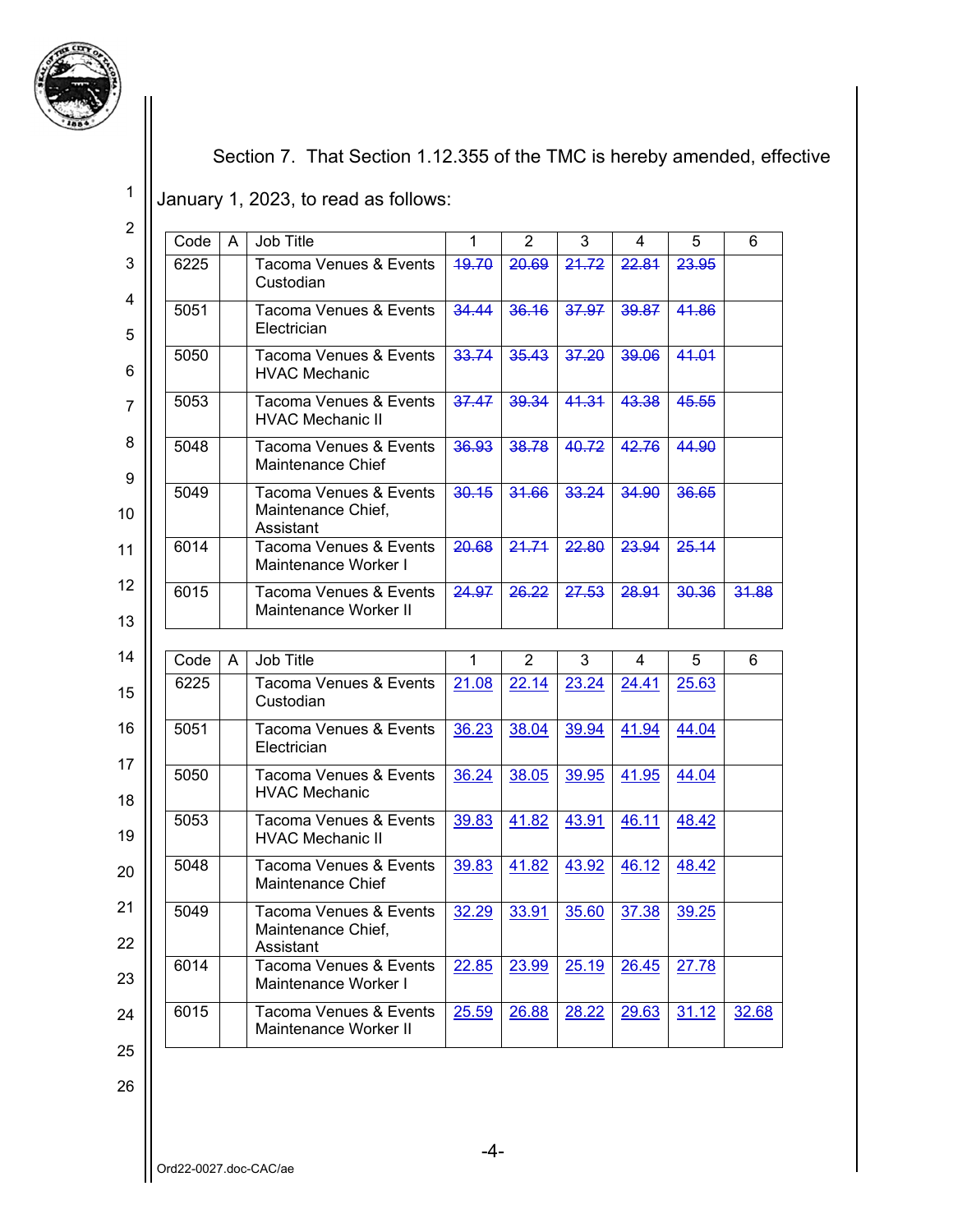

Section 7. That Section 1.12.355 of the TMC is hereby amended, effective

January 1, 2023, to read as follows:

2 3 4 5 6 7 8 9 10 11 12 13 14 15 16 17 18 19 20 21 22 23 24 25 Code A Job Title 1 2 3 4 5 6 6225 | Tacoma Venues & Events **Custodian** 19.70 20.69 21.72 22.81 23.95 5051 Tacoma Venues & Events **Electrician** 34.44 36.16 37.97 39.87 41.86 5050 | Tacoma Venues & Events HVAC Mechanic 33.74 35.43 37.20 39.06 41.01 5053 | Tacoma Venues & Events HVAC Mechanic II 37.47 39.34 41.31 43.38 45.55 5048 | Tacoma Venues & Events Maintenance Chief 36.93 38.78 40.72 42.76 44.90 5049 | Tacoma Venues & Events Maintenance Chief, Assistant 30.15 31.66 33.24 34.90 36.65 6014 Tacoma Venues & Events Maintenance Worker I 20.68 21.71 22.80 23.94 25.14 6015 Tacoma Venues & Events Maintenance Worker II 24.97 26.22 27.53 28.91 30.36 31.88 Code A Job Title 1 2 3 4 5 6 6225 | Tacoma Venues & Events Custodian 21.08 22.14 23.24 24.41 25.63 5051 | Tacoma Venues & Events **Electrician** 36.23 38.04 39.94 41.94 44.04 5050 | Tacoma Venues & Events HVAC Mechanic 36.24 38.05 39.95 41.95 44.04 5053 | Tacoma Venues & Events HVAC Mechanic II 39.83 41.82 43.91 46.11 48.42 5048 | Tacoma Venues & Events Maintenance Chief 39.83 41.82 43.92 46.12 48.42 5049 | Tacoma Venues & Events Maintenance Chief, Assistant 32.29 33.91 35.60 37.38 39.25 6014 Tacoma Venues & Events Maintenance Worker I 22.85 23.99 25.19 26.45 27.78 6015 | Tacoma Venues & Events Maintenance Worker II 25.59 26.88 28.22 29.63 31.12 32.68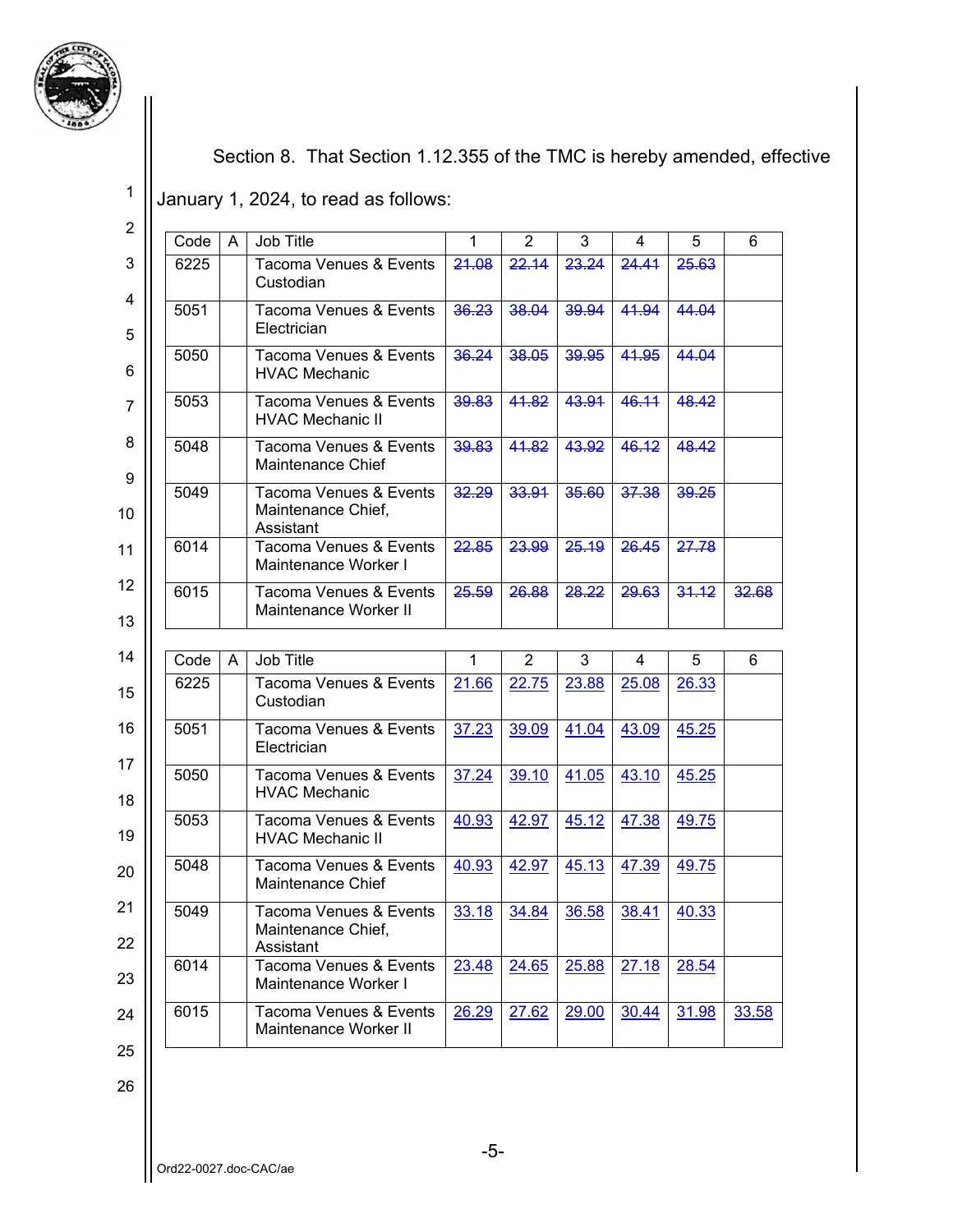

Section 8. That Section 1.12.355 of the TMC is hereby amended, effective

January 1, 2024, to read as follows:

2 3 4 5 6 7 8 9 10 11 12 13 14 15 16 17 18 19 20 21 22 23 24 25 Code A Job Title 1 2 3 4 5 6 6225 | Tacoma Venues & Events **Custodian** 21.08 22.14 23.24 24.41 25.63 5051 Tacoma Venues & Events **Electrician** 36.23 38.04 39.94 41.94 44.04 5050 | Tacoma Venues & Events HVAC Mechanic 36.24 38.05 39.95 41.95 44.04 5053 | Tacoma Venues & Events HVAC Mechanic II 39.83 41.82 43.91 46.11 48.42 5048 | Tacoma Venues & Events Maintenance Chief 39.83 41.82 43.92 46.12 48.42 5049 | Tacoma Venues & Events Maintenance Chief, Assistant 32.29 33.91 35.60 37.38 39.25 6014 Tacoma Venues & Events Maintenance Worker I 22.85 23.99 25.19 26.45 27.78 6015 Tacoma Venues & Events Maintenance Worker II 25.59 26.88 28.22 29.63 31.12 32.68 Code A Job Title 1 2 3 4 5 6 6225 | Tacoma Venues & Events Custodian 21.66 22.75 23.88 25.08 26.33 5051 | Tacoma Venues & Events **Electrician** 37.23 39.09 41.04 43.09 45.25 5050 | Tacoma Venues & Events HVAC Mechanic 37.24 39.10 41.05 43.10 45.25 5053 | Tacoma Venues & Events HVAC Mechanic II 40.93 42.97 45.12 47.38 49.75 5048 | Tacoma Venues & Events Maintenance Chief 40.93 42.97 45.13 47.39 49.75 5049 | Tacoma Venues & Events Maintenance Chief, Assistant 33.18 34.84 36.58 38.41 40.33 6014 Tacoma Venues & Events Maintenance Worker I 23.48 24.65 25.88 27.18 28.54 6015 | Tacoma Venues & Events Maintenance Worker II 26.29 27.62 29.00 30.44 31.98 33.58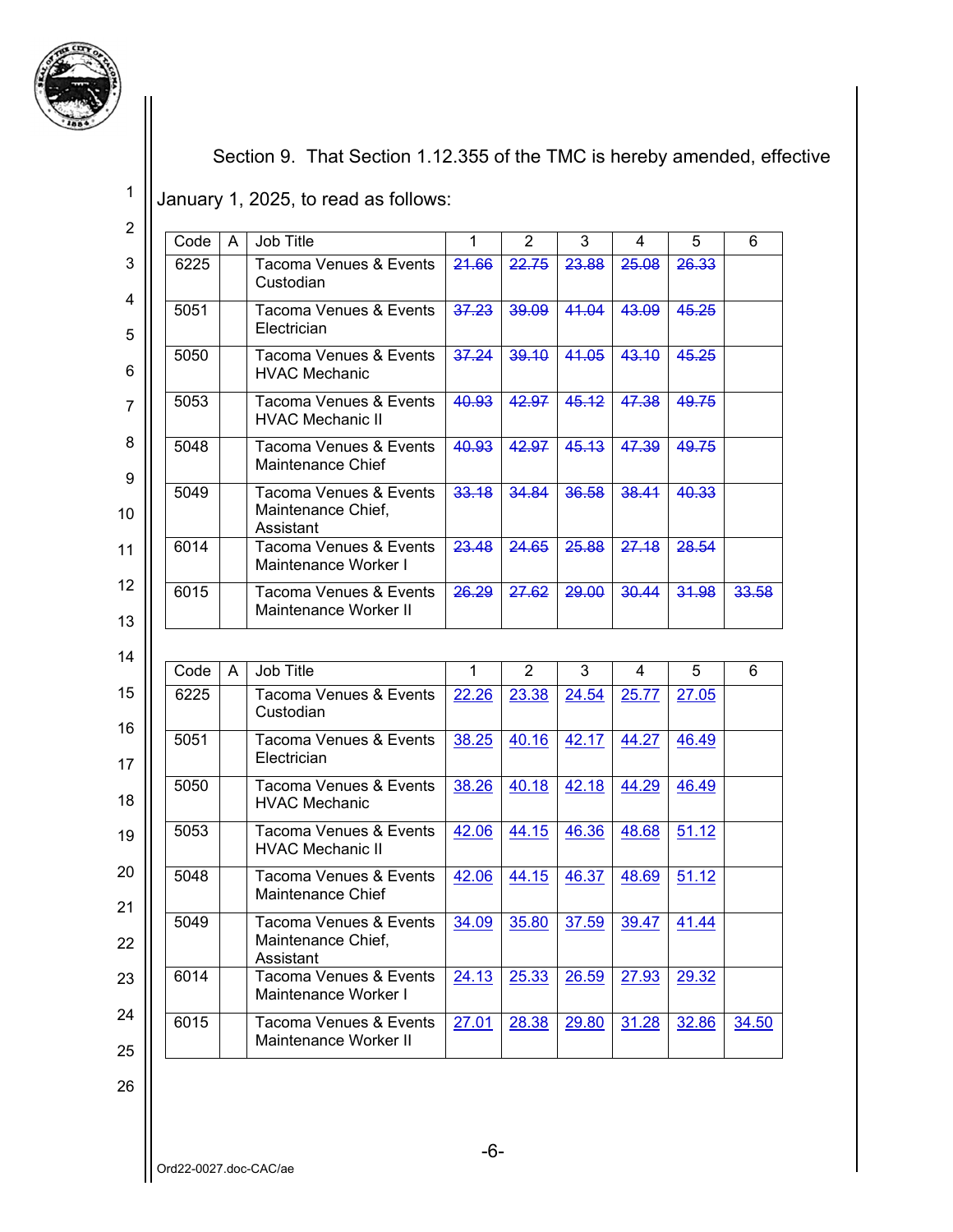

Section 9. That Section 1.12.355 of the TMC is hereby amended, effective

January 1, 2025, to read as follows:

2 3 4 5 6 7 8 9 10 11 12 13 14 15 16 17 18 19 20 21 22 23 24 25 Code A Job Title 1 2 3 4 5 6 6225 | Tacoma Venues & Events **Custodian** 21.66 22.75 23.88 25.08 26.33 5051 Tacoma Venues & Events **Electrician** 37.23 39.09 41.04 43.09 45.25 5050 | Tacoma Venues & Events HVAC Mechanic 37.24 39.10 41.05 43.10 45.25 5053 | Tacoma Venues & Events HVAC Mechanic II 40.93 42.97 45.12 47.38 49.75 5048 | Tacoma Venues & Events Maintenance Chief 40.93 42.97 45.13 47.39 49.75 5049 | Tacoma Venues & Events Maintenance Chief, Assistant 33.18 34.84 36.58 38.41 40.33 6014 Tacoma Venues & Events Maintenance Worker I 23.48 24.65 25.88 27.18 28.54 6015 Tacoma Venues & Events Maintenance Worker II 26.29 27.62 29.00 30.44 31.98 33.58 Code A Job Title 1 2 3 4 5 6 6225 | Tacoma Venues & Events Custodian 22.26 23.38 24.54 25.77 27.05 5051 Tacoma Venues & Events Electrician 38.25 40.16 42.17 44.27 46.49 5050 Tracoma Venues & Events HVAC Mechanic 38.26 40.18 42.18 44.29 46.49 5053 | Tacoma Venues & Events HVAC Mechanic II 42.06 44.15 46.36 48.68 51.12 5048 Tacoma Venues & Events Maintenance Chief 42.06 44.15 46.37 48.69 51.12 5049 | Tacoma Venues & Events Maintenance Chief, Assistant 34.09 35.80 37.59 39.47 41.44 6014 Tacoma Venues & Events Maintenance Worker I 24.13 25.33 26.59 27.93 29.32 6015 | Tacoma Venues & Events Maintenance Worker II 27.01 28.38 29.80 31.28 32.86 34.50